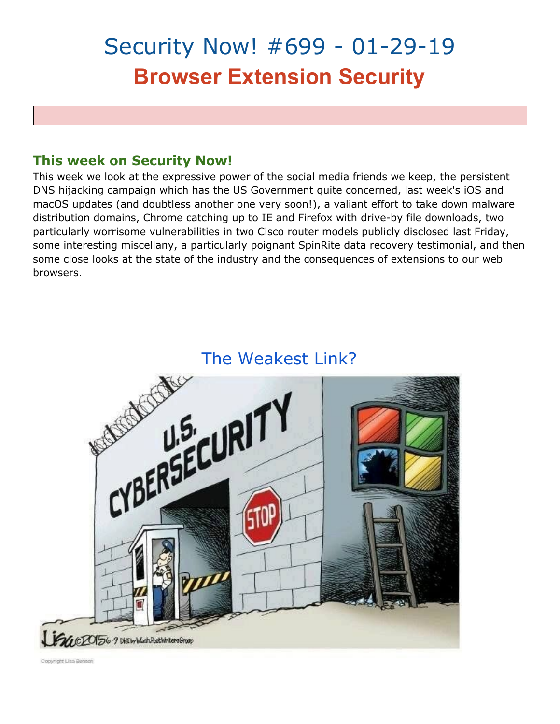# Security Now! #699 - 01-29-19 **Browser Extension Security**

## **This week on Security Now!**

This week we look at the expressive power of the social media friends we keep, the persistent DNS hijacking campaign which has the US Government quite concerned, last week's iOS and macOS updates (and doubtless another one very soon!), a valiant effort to take down malware distribution domains, Chrome catching up to IE and Firefox with drive-by file downloads, two particularly worrisome vulnerabilities in two Cisco router models publicly disclosed last Friday, some interesting miscellany, a particularly poignant SpinRite data recovery testimonial, and then some close looks at the state of the industry and the consequences of extensions to our web browsers.

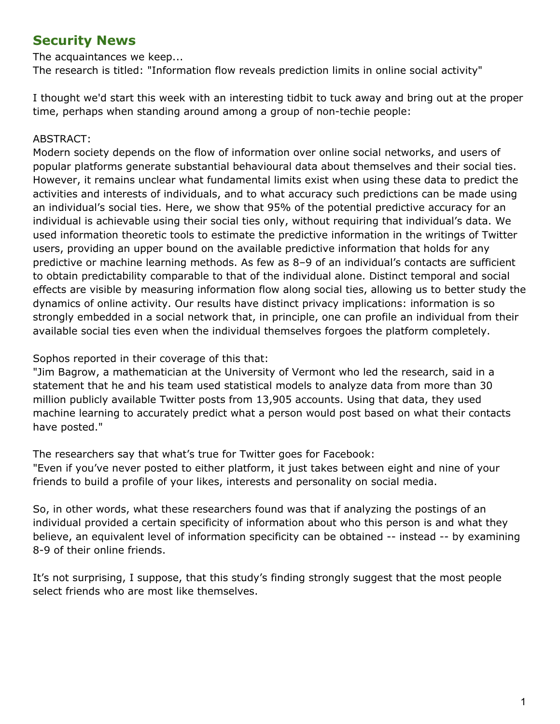# **Security News**

The acquaintances we keep...

The research is titled: "Information flow reveals prediction limits in online social activity"

I thought we'd start this week with an interesting tidbit to tuck away and bring out at the proper time, perhaps when standing around among a group of non-techie people:

#### ABSTRACT:

Modern society depends on the flow of information over online social networks, and users of popular platforms generate substantial behavioural data about themselves and their social ties. However, it remains unclear what fundamental limits exist when using these data to predict the activities and interests of individuals, and to what accuracy such predictions can be made using an individual's social ties. Here, we show that 95% of the potential predictive accuracy for an individual is achievable using their social ties only, without requiring that individual's data. We used information theoretic tools to estimate the predictive information in the writings of Twitter users, providing an upper bound on the available predictive information that holds for any predictive or machine learning methods. As few as 8–9 of an individual's contacts are sufficient to obtain predictability comparable to that of the individual alone. Distinct temporal and social effects are visible by measuring information flow along social ties, allowing us to better study the dynamics of online activity. Our results have distinct privacy implications: information is so strongly embedded in a social network that, in principle, one can profile an individual from their available social ties even when the individual themselves forgoes the platform completely.

#### Sophos reported in their coverage of this that:

"Jim Bagrow, a mathematician at the University of Vermont who led the research, said in a statement that he and his team used statistical models to analyze data from more than 30 million publicly available Twitter posts from 13,905 accounts. Using that data, they used machine learning to accurately predict what a person would post based on what their contacts have posted."

The researchers say that what's true for Twitter goes for Facebook: "Even if you've never posted to either platform, it just takes between eight and nine of your friends to build a profile of your likes, interests and personality on social media.

So, in other words, what these researchers found was that if analyzing the postings of an individual provided a certain specificity of information about who this person is and what they believe, an equivalent level of information specificity can be obtained -- instead -- by examining 8-9 of their online friends.

It's not surprising, I suppose, that this study's finding strongly suggest that the most people select friends who are most like themselves.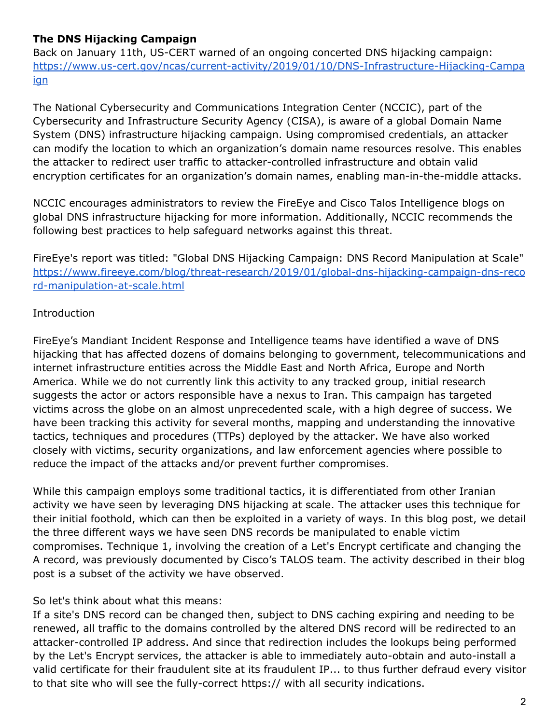### **The DNS Hijacking Campaign**

Back on January 11th, US-CERT warned of an ongoing concerted DNS hijacking campaign: [https://www.us-cert.gov/ncas/current-activity/2019/01/10/DNS-Infrastructure-Hijacking-Campa](https://www.us-cert.gov/ncas/current-activity/2019/01/10/DNS-Infrastructure-Hijacking-Campaign) [ign](https://www.us-cert.gov/ncas/current-activity/2019/01/10/DNS-Infrastructure-Hijacking-Campaign)

The National Cybersecurity and Communications Integration Center (NCCIC), part of the Cybersecurity and Infrastructure Security Agency (CISA), is aware of a global Domain Name System (DNS) infrastructure hijacking campaign. Using compromised credentials, an attacker can modify the location to which an organization's domain name resources resolve. This enables the attacker to redirect user traffic to attacker-controlled infrastructure and obtain valid encryption certificates for an organization's domain names, enabling man-in-the-middle attacks.

NCCIC encourages administrators to review the FireEye and Cisco Talos Intelligence blogs on global DNS infrastructure hijacking for more information. Additionally, NCCIC recommends the following best practices to help safeguard networks against this threat.

FireEye's report was titled: "Global DNS Hijacking Campaign: DNS Record Manipulation at Scale" [https://www.fireeye.com/blog/threat-research/2019/01/global-dns-hijacking-campaign-dns-reco](https://www.fireeye.com/blog/threat-research/2019/01/global-dns-hijacking-campaign-dns-record-manipulation-at-scale.html) [rd-manipulation-at-scale.html](https://www.fireeye.com/blog/threat-research/2019/01/global-dns-hijacking-campaign-dns-record-manipulation-at-scale.html)

#### Introduction

FireEye's Mandiant Incident Response and Intelligence teams have identified a wave of DNS hijacking that has affected dozens of domains belonging to government, telecommunications and internet infrastructure entities across the Middle East and North Africa, Europe and North America. While we do not currently link this activity to any tracked group, initial research suggests the actor or actors responsible have a nexus to Iran. This campaign has targeted victims across the globe on an almost unprecedented scale, with a high degree of success. We have been tracking this activity for several months, mapping and understanding the innovative tactics, techniques and procedures (TTPs) deployed by the attacker. We have also worked closely with victims, security organizations, and law enforcement agencies where possible to reduce the impact of the attacks and/or prevent further compromises.

While this campaign employs some traditional tactics, it is differentiated from other Iranian activity we have seen by leveraging DNS hijacking at scale. The attacker uses this technique for their initial foothold, which can then be exploited in a variety of ways. In this blog post, we detail the three different ways we have seen DNS records be manipulated to enable victim compromises. Technique 1, involving the creation of a Let's Encrypt certificate and changing the A record, was previously documented by Cisco's TALOS team. The activity described in their blog post is a subset of the activity we have observed.

#### So let's think about what this means:

If a site's DNS record can be changed then, subject to DNS caching expiring and needing to be renewed, all traffic to the domains controlled by the altered DNS record will be redirected to an attacker-controlled IP address. And since that redirection includes the lookups being performed by the Let's Encrypt services, the attacker is able to immediately auto-obtain and auto-install a valid certificate for their fraudulent site at its fraudulent IP... to thus further defraud every visitor to that site who will see the fully-correct https:// with all security indications.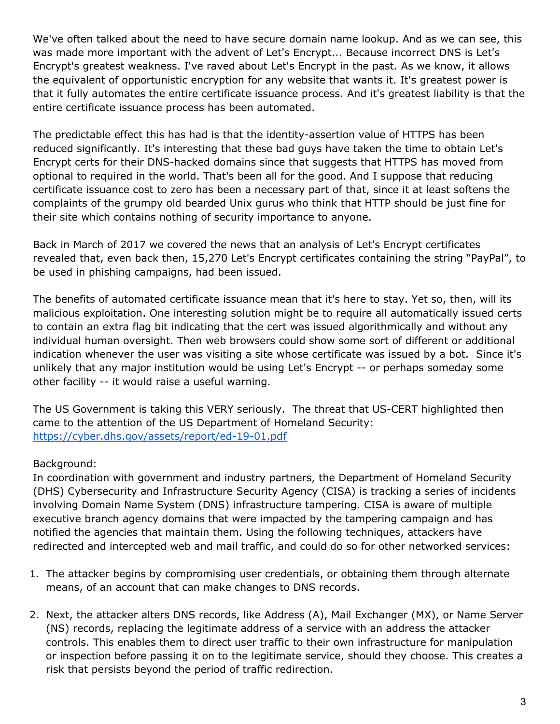We've often talked about the need to have secure domain name lookup. And as we can see, this was made more important with the advent of Let's Encrypt... Because incorrect DNS is Let's Encrypt's greatest weakness. I've raved about Let's Encrypt in the past. As we know, it allows the equivalent of opportunistic encryption for any website that wants it. It's greatest power is that it fully automates the entire certificate issuance process. And it's greatest liability is that the entire certificate issuance process has been automated.

The predictable effect this has had is that the identity-assertion value of HTTPS has been reduced significantly. It's interesting that these bad guys have taken the time to obtain Let's Encrypt certs for their DNS-hacked domains since that suggests that HTTPS has moved from optional to required in the world. That's been all for the good. And I suppose that reducing certificate issuance cost to zero has been a necessary part of that, since it at least softens the complaints of the grumpy old bearded Unix gurus who think that HTTP should be just fine for their site which contains nothing of security importance to anyone.

Back in March of 2017 we covered the news that an analysis of Let's Encrypt certificates revealed that, even back then, 15,270 Let's Encrypt certificates containing the string "PayPal", to be used in phishing campaigns, had been issued.

The benefits of automated certificate issuance mean that it's here to stay. Yet so, then, will its malicious exploitation. One interesting solution might be to require all automatically issued certs to contain an extra flag bit indicating that the cert was issued algorithmically and without any individual human oversight. Then web browsers could show some sort of different or additional indication whenever the user was visiting a site whose certificate was issued by a bot. Since it's unlikely that any major institution would be using Let's Encrypt -- or perhaps someday some other facility -- it would raise a useful warning.

The US Government is taking this VERY seriously. The threat that US-CERT highlighted then came to the attention of the US Department of Homeland Security: <https://cyber.dhs.gov/assets/report/ed-19-01.pdf>

#### Background:

In coordination with government and industry partners, the Department of Homeland Security (DHS) Cybersecurity and Infrastructure Security Agency (CISA) is tracking a series of incidents involving Domain Name System (DNS) infrastructure tampering. CISA is aware of multiple executive branch agency domains that were impacted by the tampering campaign and has notified the agencies that maintain them. Using the following techniques, attackers have redirected and intercepted web and mail traffic, and could do so for other networked services:

- 1. The attacker begins by compromising user credentials, or obtaining them through alternate means, of an account that can make changes to DNS records.
- 2. Next, the attacker alters DNS records, like Address (A), Mail Exchanger (MX), or Name Server (NS) records, replacing the legitimate address of a service with an address the attacker controls. This enables them to direct user traffic to their own infrastructure for manipulation or inspection before passing it on to the legitimate service, should they choose. This creates a risk that persists beyond the period of traffic redirection.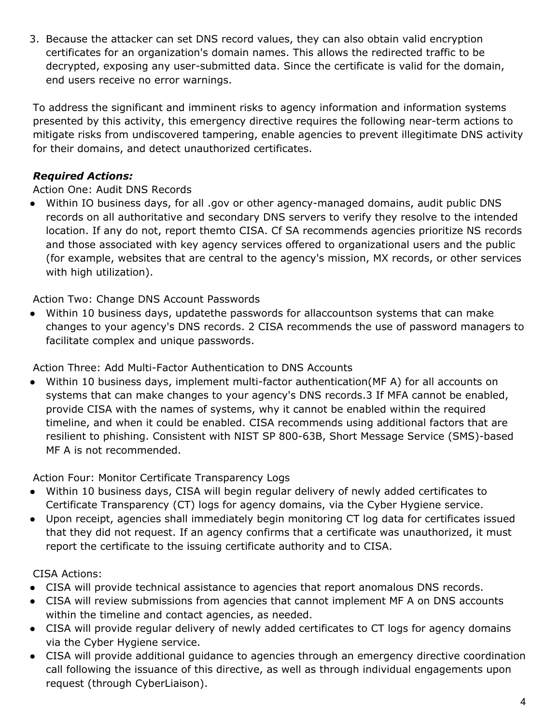3. Because the attacker can set DNS record values, they can also obtain valid encryption certificates for an organization's domain names. This allows the redirected traffic to be decrypted, exposing any user-submitted data. Since the certificate is valid for the domain, end users receive no error warnings.

To address the significant and imminent risks to agency information and information systems presented by this activity, this emergency directive requires the following near-term actions to mitigate risks from undiscovered tampering, enable agencies to prevent illegitimate DNS activity for their domains, and detect unauthorized certificates.

### *Required Actions:*

#### Action One: Audit DNS Records

● Within IO business days, for all .gov or other agency-managed domains, audit public DNS records on all authoritative and secondary DNS servers to verify they resolve to the intended location. If any do not, report themto CISA. Cf SA recommends agencies prioritize NS records and those associated with key agency services offered to organizational users and the public (for example, websites that are central to the agency's mission, MX records, or other services with high utilization).

Action Two: Change DNS Account Passwords

● Within 10 business days, updatethe passwords for allaccountson systems that can make changes to your agency's DNS records. 2 CISA recommends the use of password managers to facilitate complex and unique passwords.

Action Three: Add Multi-Factor Authentication to DNS Accounts

● Within 10 business days, implement multi-factor authentication(MF A) for all accounts on systems that can make changes to your agency's DNS records.3 If MFA cannot be enabled, provide CISA with the names of systems, why it cannot be enabled within the required timeline, and when it could be enabled. CISA recommends using additional factors that are resilient to phishing. Consistent with NIST SP 800-63B, Short Message Service (SMS)-based MF A is not recommended.

Action Four: Monitor Certificate Transparency Logs

- Within 10 business days, CISA will begin regular delivery of newly added certificates to Certificate Transparency (CT) logs for agency domains, via the Cyber Hygiene service.
- Upon receipt, agencies shall immediately begin monitoring CT log data for certificates issued that they did not request. If an agency confirms that a certificate was unauthorized, it must report the certificate to the issuing certificate authority and to CISA.

#### CISA Actions:

- CISA will provide technical assistance to agencies that report anomalous DNS records.
- CISA will review submissions from agencies that cannot implement MF A on DNS accounts within the timeline and contact agencies, as needed.
- CISA will provide regular delivery of newly added certificates to CT logs for agency domains via the Cyber Hygiene service.
- CISA will provide additional guidance to agencies through an emergency directive coordination call following the issuance of this directive, as well as through individual engagements upon request (through CyberLiaison).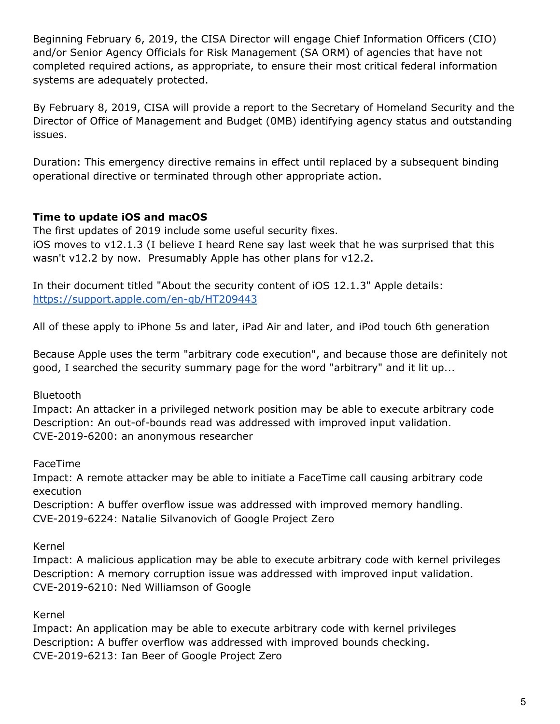Beginning February 6, 2019, the CISA Director will engage Chief Information Officers (CIO) and/or Senior Agency Officials for Risk Management (SA ORM) of agencies that have not completed required actions, as appropriate, to ensure their most critical federal information systems are adequately protected.

By February 8, 2019, CISA will provide a report to the Secretary of Homeland Security and the Director of Office of Management and Budget (0MB) identifying agency status and outstanding issues.

Duration: This emergency directive remains in effect until replaced by a subsequent binding operational directive or terminated through other appropriate action.

#### **Time to update iOS and macOS**

The first updates of 2019 include some useful security fixes. iOS moves to v12.1.3 (I believe I heard Rene say last week that he was surprised that this wasn't v12.2 by now. Presumably Apple has other plans for v12.2.

In their document titled "About the security content of iOS 12.1.3" Apple details: <https://support.apple.com/en-gb/HT209443>

All of these apply to iPhone 5s and later, iPad Air and later, and iPod touch 6th generation

Because Apple uses the term "arbitrary code execution", and because those are definitely not good, I searched the security summary page for the word "arbitrary" and it lit up...

Bluetooth

Impact: An attacker in a privileged network position may be able to execute arbitrary code Description: An out-of-bounds read was addressed with improved input validation. CVE-2019-6200: an anonymous researcher

FaceTime

Impact: A remote attacker may be able to initiate a FaceTime call causing arbitrary code execution

Description: A buffer overflow issue was addressed with improved memory handling. CVE-2019-6224: Natalie Silvanovich of Google Project Zero

Kernel

Impact: A malicious application may be able to execute arbitrary code with kernel privileges Description: A memory corruption issue was addressed with improved input validation. CVE-2019-6210: Ned Williamson of Google

Kernel

Impact: An application may be able to execute arbitrary code with kernel privileges Description: A buffer overflow was addressed with improved bounds checking. CVE-2019-6213: Ian Beer of Google Project Zero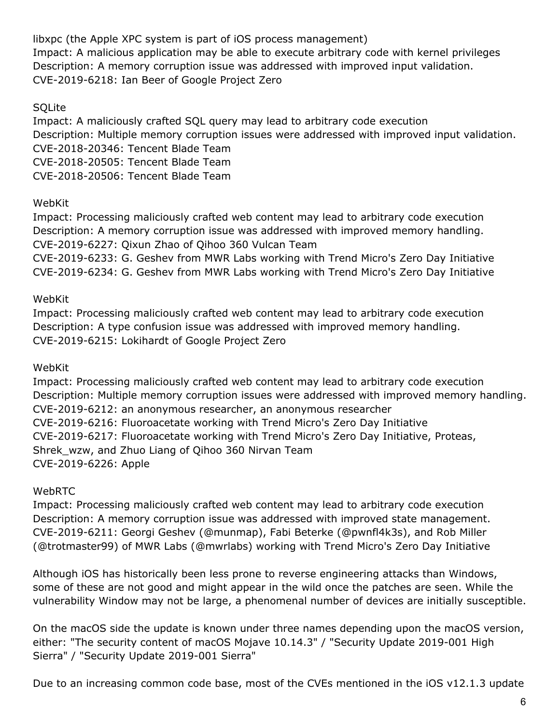libxpc (the Apple XPC system is part of iOS process management) Impact: A malicious application may be able to execute arbitrary code with kernel privileges Description: A memory corruption issue was addressed with improved input validation. CVE-2019-6218: Ian Beer of Google Project Zero

#### **SQLite**

Impact: A maliciously crafted SQL query may lead to arbitrary code execution Description: Multiple memory corruption issues were addressed with improved input validation. CVE-2018-20346: Tencent Blade Team CVE-2018-20505: Tencent Blade Team CVE-2018-20506: Tencent Blade Team

#### WebKit

Impact: Processing maliciously crafted web content may lead to arbitrary code execution Description: A memory corruption issue was addressed with improved memory handling. CVE-2019-6227: Qixun Zhao of Qihoo 360 Vulcan Team CVE-2019-6233: G. Geshev from MWR Labs working with Trend Micro's Zero Day Initiative CVE-2019-6234: G. Geshev from MWR Labs working with Trend Micro's Zero Day Initiative

#### WebKit

Impact: Processing maliciously crafted web content may lead to arbitrary code execution Description: A type confusion issue was addressed with improved memory handling. CVE-2019-6215: Lokihardt of Google Project Zero

#### WebKit

Impact: Processing maliciously crafted web content may lead to arbitrary code execution Description: Multiple memory corruption issues were addressed with improved memory handling. CVE-2019-6212: an anonymous researcher, an anonymous researcher CVE-2019-6216: Fluoroacetate working with Trend Micro's Zero Day Initiative CVE-2019-6217: Fluoroacetate working with Trend Micro's Zero Day Initiative, Proteas, Shrek\_wzw, and Zhuo Liang of Qihoo 360 Nirvan Team CVE-2019-6226: Apple

#### WebRTC

Impact: Processing maliciously crafted web content may lead to arbitrary code execution Description: A memory corruption issue was addressed with improved state management. CVE-2019-6211: Georgi Geshev (@munmap), Fabi Beterke (@pwnfl4k3s), and Rob Miller (@trotmaster99) of MWR Labs (@mwrlabs) working with Trend Micro's Zero Day Initiative

Although iOS has historically been less prone to reverse engineering attacks than Windows, some of these are not good and might appear in the wild once the patches are seen. While the vulnerability Window may not be large, a phenomenal number of devices are initially susceptible.

On the macOS side the update is known under three names depending upon the macOS version, either: "The security content of macOS Mojave 10.14.3" / "Security Update 2019-001 High Sierra" / "Security Update 2019-001 Sierra"

Due to an increasing common code base, most of the CVEs mentioned in the iOS v12.1.3 update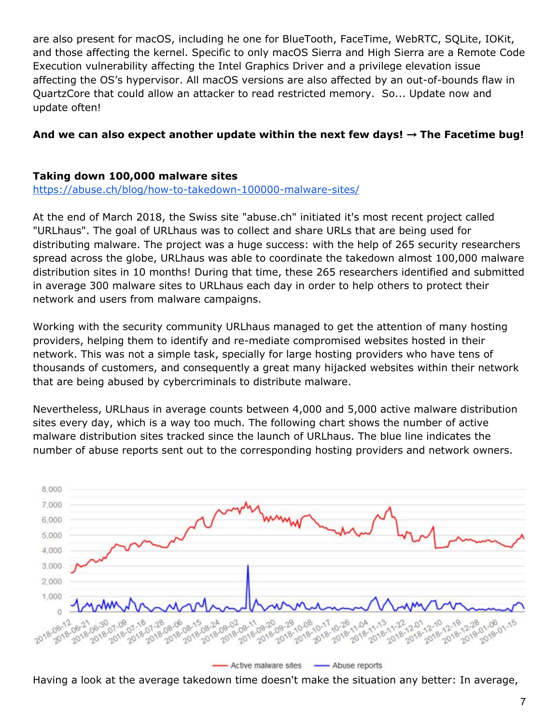are also present for macOS, including he one for BlueTooth, FaceTime, WebRTC, SQLite, IOKit, and those affecting the kernel. Specific to only macOS Sierra and High Sierra are a Remote Code Execution vulnerability affecting the Intel Graphics Driver and a privilege elevation issue affecting the OS's hypervisor. All macOS versions are also affected by an out-of-bounds flaw in QuartzCore that could allow an attacker to read restricted memory. So... Update now and update often!

#### **And we can also expect another update within the next few days!** → **The Facetime bug!**

#### **Taking down 100,000 malware sites**

<https://abuse.ch/blog/how-to-takedown-100000-malware-sites/>

At the end of March 2018, the Swiss site "abuse.ch" initiated it's most recent project called "URLhaus". The goal of URLhaus was to collect and share URLs that are being used for distributing malware. The project was a huge success: with the help of 265 security researchers spread across the globe, URLhaus was able to coordinate the takedown almost 100,000 malware distribution sites in 10 months! During that time, these 265 researchers identified and submitted in average 300 malware sites to URLhaus each day in order to help others to protect their network and users from malware campaigns.

Working with the security community URLhaus managed to get the attention of many hosting providers, helping them to identify and re-mediate compromised websites hosted in their network. This was not a simple task, specially for large hosting providers who have tens of thousands of customers, and consequently a great many hijacked websites within their network that are being abused by cybercriminals to distribute malware.

Nevertheless, URLhaus in average counts between 4,000 and 5,000 active malware distribution sites every day, which is a way too much. The following chart shows the number of active malware distribution sites tracked since the launch of URLhaus. The blue line indicates the number of abuse reports sent out to the corresponding hosting providers and network owners.



Active malware sites -- Abuse reports

Having a look at the average takedown time doesn't make the situation any better: In average,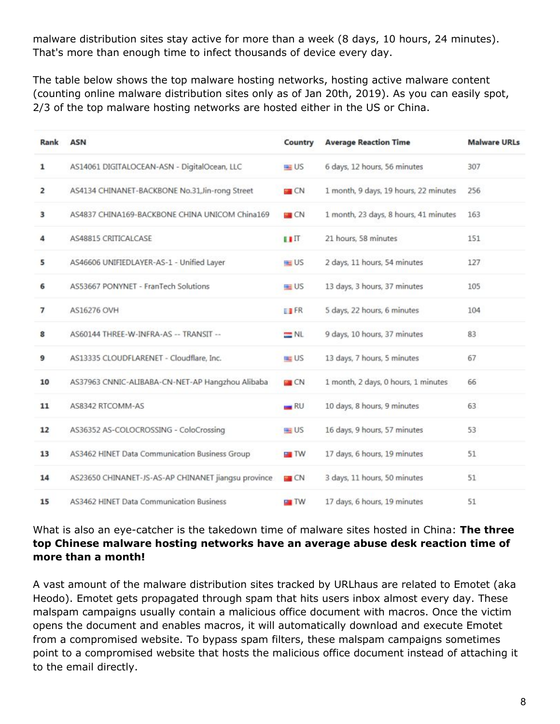malware distribution sites stay active for more than a week (8 days, 10 hours, 24 minutes). That's more than enough time to infect thousands of device every day.

The table below shows the top malware hosting networks, hosting active malware content (counting online malware distribution sites only as of Jan 20th, 2019). As you can easily spot, 2/3 of the top malware hosting networks are hosted either in the US or China.

| Rank           | <b>ASN</b>                                          | Country           | <b>Average Reaction Time</b>          | <b>Malware URLs</b> |
|----------------|-----------------------------------------------------|-------------------|---------------------------------------|---------------------|
| 1              | AS14061 DIGITALOCEAN-ASN - DigitalOcean, LLC        | <b>US</b>         | 6 days, 12 hours, 56 minutes          | 307                 |
| 2              | AS4134 CHINANET-BACKBONE No.31, Jin-rong Street     | <b>EX</b> CN      | 1 month, 9 days, 19 hours, 22 minutes | 256                 |
| з              | AS4837 CHINA169-BACKBONE CHINA UNICOM China169      | $\blacksquare$ CN | 1 month, 23 days, 8 hours, 41 minutes | 163                 |
| 4              | AS48815 CRITICALCASE                                | $\blacksquare$    | 21 hours, 58 minutes                  | 151                 |
| 5              | AS46606 UNIFIEDLAYER-AS-1 - Unified Layer           | <b>BE US</b>      | 2 days, 11 hours, 54 minutes          | 127                 |
| 6              | AS53667 PONYNET - FranTech Solutions                | $\blacksquare$ US | 13 days, 3 hours, 37 minutes          | 105                 |
| $\overline{7}$ | AS16276 OVH                                         | <b>TTFR</b>       | 5 days, 22 hours, 6 minutes           | 104                 |
| 8              | AS60144 THREE-W-INFRA-AS -- TRANSIT --              | $=$ NL            | 9 days, 10 hours, 37 minutes          | 83                  |
| 9              | AS13335 CLOUDFLARENET - Cloudflare, Inc.            | <b>US</b>         | 13 days, 7 hours, 5 minutes           | 67                  |
| 10             | AS37963 CNNIC-ALIBABA-CN-NET-AP Hangzhou Alibaba    | <b>CN</b>         | 1 month, 2 days, 0 hours, 1 minutes   | 66                  |
| 11             | AS8342 RTCOMM-AS                                    | $\blacksquare$ RU | 10 days, 8 hours, 9 minutes           | 63                  |
| 12             | AS36352 AS-COLOCROSSING - ColoCrossing              | <b>US</b>         | 16 days, 9 hours, 57 minutes          | 53                  |
| 13             | AS3462 HINET Data Communication Business Group      | <b>NO</b> TW      | 17 days, 6 hours, 19 minutes          | 51                  |
| 14             | AS23650 CHINANET-JS-AS-AP CHINANET jiangsu province | $\Box$ CN         | 3 days, 11 hours, 50 minutes          | 51                  |
| 15             | AS3462 HINET Data Communication Business            | $\blacksquare$ TW | 17 days, 6 hours, 19 minutes          | 51                  |

#### What is also an eye-catcher is the takedown time of malware sites hosted in China: **The three top Chinese malware hosting networks have an average abuse desk reaction time of more than a month!**

A vast amount of the malware distribution sites tracked by URLhaus are related to Emotet (aka Heodo). Emotet gets propagated through spam that hits users inbox almost every day. These malspam campaigns usually contain a malicious office document with macros. Once the victim opens the document and enables macros, it will automatically download and execute Emotet from a compromised website. To bypass spam filters, these malspam campaigns sometimes point to a compromised website that hosts the malicious office document instead of attaching it to the email directly.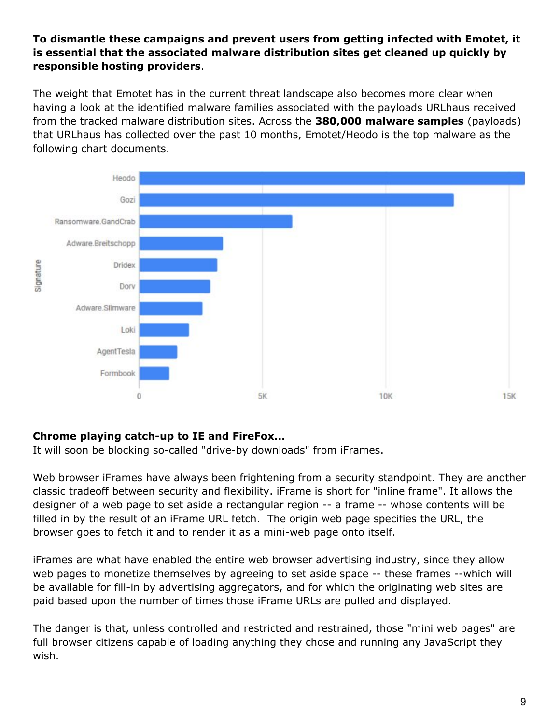#### **To dismantle these campaigns and prevent users from getting infected with Emotet, it is essential that the associated malware distribution sites get cleaned up quickly by responsible hosting providers**.

The weight that Emotet has in the current threat landscape also becomes more clear when having a look at the identified malware families associated with the payloads URLhaus received from the tracked malware distribution sites. Across the **380,000 malware samples** (payloads) that URLhaus has collected over the past 10 months, Emotet/Heodo is the top malware as the following chart documents.



#### **Chrome playing catch-up to IE and FireFox...**

It will soon be blocking so-called "drive-by downloads" from iFrames.

Web browser iFrames have always been frightening from a security standpoint. They are another classic tradeoff between security and flexibility. iFrame is short for "inline frame". It allows the designer of a web page to set aside a rectangular region -- a frame -- whose contents will be filled in by the result of an iFrame URL fetch. The origin web page specifies the URL, the browser goes to fetch it and to render it as a mini-web page onto itself.

iFrames are what have enabled the entire web browser advertising industry, since they allow web pages to monetize themselves by agreeing to set aside space -- these frames --which will be available for fill-in by advertising aggregators, and for which the originating web sites are paid based upon the number of times those iFrame URLs are pulled and displayed.

The danger is that, unless controlled and restricted and restrained, those "mini web pages" are full browser citizens capable of loading anything they chose and running any JavaScript they wish.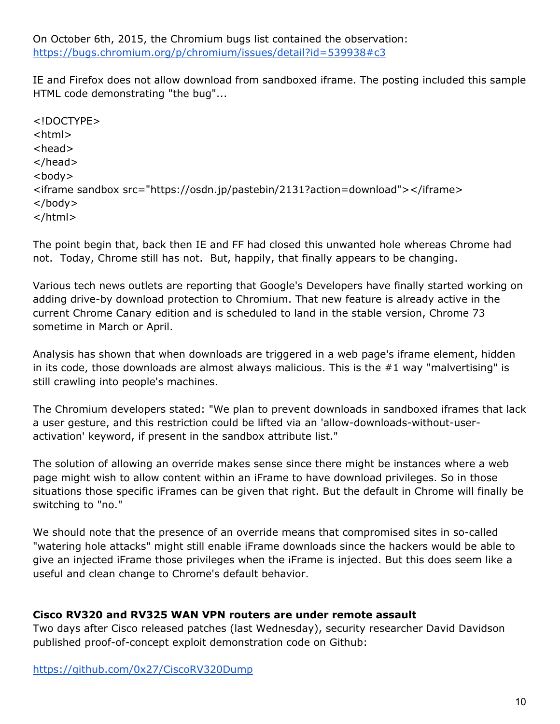On October 6th, 2015, the Chromium bugs list contained the observation: <https://bugs.chromium.org/p/chromium/issues/detail?id=539938#c3>

IE and Firefox does not allow download from sandboxed iframe. The posting included this sample HTML code demonstrating "the bug"...

<!DOCTYPE> <html> <head> </head> <body> <iframe sandbox src="https://osdn.jp/pastebin/2131?action=download"></iframe> </body> </html>

The point begin that, back then IE and FF had closed this unwanted hole whereas Chrome had not. Today, Chrome still has not. But, happily, that finally appears to be changing.

Various tech news outlets are reporting that Google's Developers have finally started working on adding drive-by download protection to Chromium. That new feature is already active in the current Chrome Canary edition and is scheduled to land in the stable version, Chrome 73 sometime in March or April.

Analysis has shown that when downloads are triggered in a web page's iframe element, hidden in its code, those downloads are almost always malicious. This is the #1 way "malvertising" is still crawling into people's machines.

The Chromium developers stated: "We plan to prevent downloads in sandboxed iframes that lack a user gesture, and this restriction could be lifted via an 'allow-downloads-without-useractivation' keyword, if present in the sandbox attribute list."

The solution of allowing an override makes sense since there might be instances where a web page might wish to allow content within an iFrame to have download privileges. So in those situations those specific iFrames can be given that right. But the default in Chrome will finally be switching to "no."

We should note that the presence of an override means that compromised sites in so-called "watering hole attacks" might still enable iFrame downloads since the hackers would be able to give an injected iFrame those privileges when the iFrame is injected. But this does seem like a useful and clean change to Chrome's default behavior.

#### **Cisco RV320 and RV325 WAN VPN routers are under remote assault**

Two days after Cisco released patches (last Wednesday), security researcher David Davidson published proof-of-concept exploit demonstration code on Github:

<https://github.com/0x27/CiscoRV320Dump>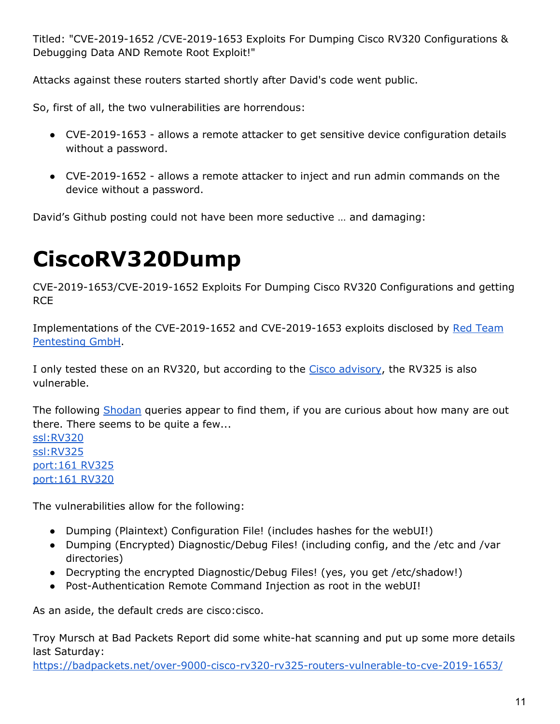Titled: "CVE-2019-1652 /CVE-2019-1653 Exploits For Dumping Cisco RV320 Configurations & Debugging Data AND Remote Root Exploit!"

Attacks against these routers started shortly after David's code went public.

So, first of all, the two vulnerabilities are horrendous:

- CVE-2019-1653 allows a remote attacker to get sensitive device configuration details without a password.
- CVE-2019-1652 allows a remote attacker to inject and run admin commands on the device without a password.

David's Github posting could not have been more seductive … and damaging:

# **CiscoRV320Dump**

CVE-2019-1653/CVE-2019-1652 Exploits For Dumping Cisco RV320 Configurations and getting **RCE** 

Implementations of the CVE-2019-1652 and CVE-2019-1653 exploits disclosed b[y](http://www.redteam-pentesting.de/) Red [Team](http://www.redteam-pentesting.de/) [Pentesting](http://www.redteam-pentesting.de/) GmbH.

I only tested these on an RV320, but according to th[e](https://tools.cisco.com/security/center/content/CiscoSecurityAdvisory/cisco-sa-20190123-rv-info) Cisco [advisory](https://tools.cisco.com/security/center/content/CiscoSecurityAdvisory/cisco-sa-20190123-rv-info), the RV325 is also vulnerable.

The following [Shodan](https://shodan.io/) queries appear to find them, if you are curious about how many are out there. There seems to be quite a few...

[ssl:RV320](https://www.shodan.io/search?query=ssl%3ARV320) [ssl:RV325](https://www.shodan.io/search?query=ssl%3ARV325) [port:161](https://www.shodan.io/search?query=port%3A161+RV325) RV325 [port:161](https://www.shodan.io/search?query=port%3A161+RV320) RV320

The vulnerabilities allow for the following:

- Dumping (Plaintext) Configuration File! (includes hashes for the webUI!)
- Dumping (Encrypted) Diagnostic/Debug Files! (including config, and the /etc and /var directories)
- Decrypting the encrypted Diagnostic/Debug Files! (yes, you get /etc/shadow!)
- Post-Authentication Remote Command Injection as root in the webUI!

As an aside, the default creds are cisco:cisco.

Troy Mursch at Bad Packets Report did some white-hat scanning and put up some more details last Saturday:

<https://badpackets.net/over-9000-cisco-rv320-rv325-routers-vulnerable-to-cve-2019-1653/>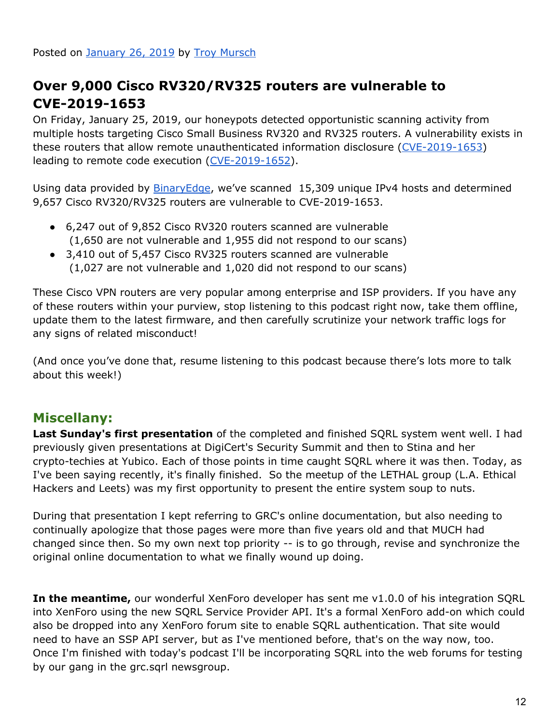# **Over 9,000 Cisco RV320/RV325 routers are vulnerable to CVE-2019-1653**

On Friday, January 25, 2019, our honeypots detected opportunistic scanning activity from multiple hosts targeting Cisco Small Business RV320 and RV325 routers. A vulnerability exists in these routers that allow remote unauthenticated information disclosure ([CVE-2019-1653\)](https://cve.mitre.org/cgi-bin/cvename.cgi?name=CVE-2019-1653) leading to remote code execution ([CVE-2019-1652\)](https://cve.mitre.org/cgi-bin/cvename.cgi?name=CVE-2019-1652).

Using data provided by **[BinaryEdge](https://www.binaryedge.io/)**, we've scanned 15,309 unique IPv4 hosts and determined 9,657 Cisco RV320/RV325 routers are vulnerable to CVE-2019-1653.

- 6,247 out of 9,852 Cisco RV320 routers scanned are vulnerable (1,650 are not vulnerable and 1,955 did not respond to our scans)
- 3,410 out of 5,457 Cisco RV325 routers scanned are vulnerable (1,027 are not vulnerable and 1,020 did not respond to our scans)

These Cisco VPN routers are very popular among enterprise and ISP providers. If you have any of these routers within your purview, stop listening to this podcast right now, take them offline, update them to the latest firmware, and then carefully scrutinize your network traffic logs for any signs of related misconduct!

(And once you've done that, resume listening to this podcast because there's lots more to talk about this week!)

# **Miscellany:**

**Last Sunday's first presentation** of the completed and finished SQRL system went well. I had previously given presentations at DigiCert's Security Summit and then to Stina and her crypto-techies at Yubico. Each of those points in time caught SQRL where it was then. Today, as I've been saying recently, it's finally finished. So the meetup of the LETHAL group (L.A. Ethical Hackers and Leets) was my first opportunity to present the entire system soup to nuts.

During that presentation I kept referring to GRC's online documentation, but also needing to continually apologize that those pages were more than five years old and that MUCH had changed since then. So my own next top priority -- is to go through, revise and synchronize the original online documentation to what we finally wound up doing.

**In the meantime,** our wonderful XenForo developer has sent me v1.0.0 of his integration SQRL into XenForo using the new SQRL Service Provider API. It's a formal XenForo add-on which could also be dropped into any XenForo forum site to enable SQRL authentication. That site would need to have an SSP API server, but as I've mentioned before, that's on the way now, too. Once I'm finished with today's podcast I'll be incorporating SQRL into the web forums for testing by our gang in the grc.sqrl newsgroup.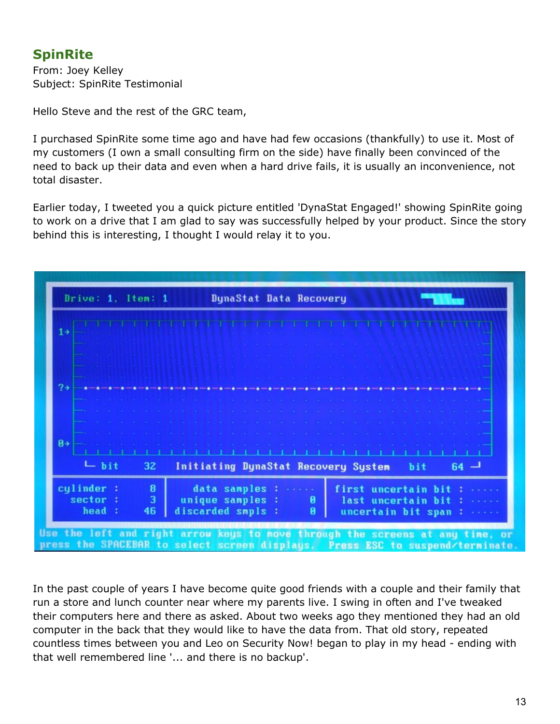# **SpinRite**

From: Joey Kelley Subject: SpinRite Testimonial

Hello Steve and the rest of the GRC team,

I purchased SpinRite some time ago and have had few occasions (thankfully) to use it. Most of my customers (I own a small consulting firm on the side) have finally been convinced of the need to back up their data and even when a hard drive fails, it is usually an inconvenience, not total disaster.

Earlier today, I tweeted you a quick picture entitled 'DynaStat Engaged!' showing SpinRite going to work on a drive that I am glad to say was successfully helped by your product. Since the story behind this is interesting, I thought I would relay it to you.



In the past couple of years I have become quite good friends with a couple and their family that run a store and lunch counter near where my parents live. I swing in often and I've tweaked their computers here and there as asked. About two weeks ago they mentioned they had an old computer in the back that they would like to have the data from. That old story, repeated countless times between you and Leo on Security Now! began to play in my head - ending with that well remembered line '... and there is no backup'.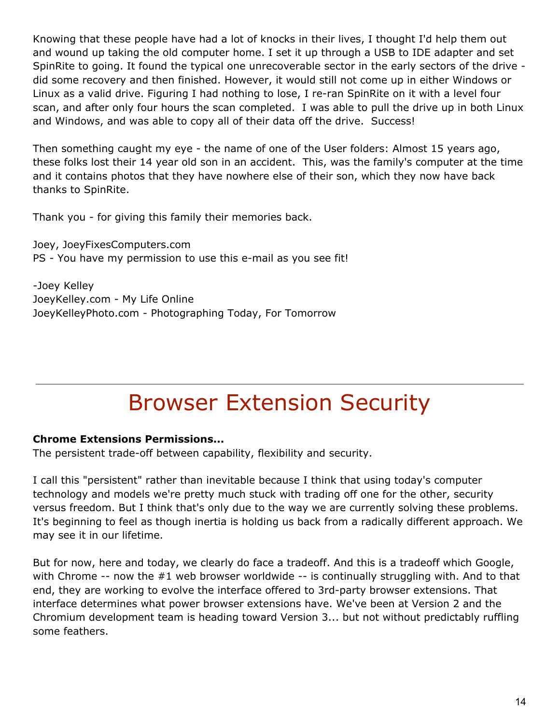Knowing that these people have had a lot of knocks in their lives, I thought I'd help them out and wound up taking the old computer home. I set it up through a USB to IDE adapter and set SpinRite to going. It found the typical one unrecoverable sector in the early sectors of the drive did some recovery and then finished. However, it would still not come up in either Windows or Linux as a valid drive. Figuring I had nothing to lose, I re-ran SpinRite on it with a level four scan, and after only four hours the scan completed. I was able to pull the drive up in both Linux and Windows, and was able to copy all of their data off the drive. Success!

Then something caught my eye - the name of one of the User folders: Almost 15 years ago, these folks lost their 14 year old son in an accident. This, was the family's computer at the time and it contains photos that they have nowhere else of their son, which they now have back thanks to SpinRite.

Thank you - for giving this family their memories back.

Joey, JoeyFixesComputers.com PS - You have my permission to use this e-mail as you see fit!

-Joey Kelley JoeyKelley.com - My Life Online JoeyKelleyPhoto.com - Photographing Today, For Tomorrow

# Browser Extension Security

#### **Chrome Extensions Permissions...**

The persistent trade-off between capability, flexibility and security.

I call this "persistent" rather than inevitable because I think that using today's computer technology and models we're pretty much stuck with trading off one for the other, security versus freedom. But I think that's only due to the way we are currently solving these problems. It's beginning to feel as though inertia is holding us back from a radically different approach. We may see it in our lifetime.

But for now, here and today, we clearly do face a tradeoff. And this is a tradeoff which Google, with Chrome -- now the #1 web browser worldwide -- is continually struggling with. And to that end, they are working to evolve the interface offered to 3rd-party browser extensions. That interface determines what power browser extensions have. We've been at Version 2 and the Chromium development team is heading toward Version 3... but not without predictably ruffling some feathers.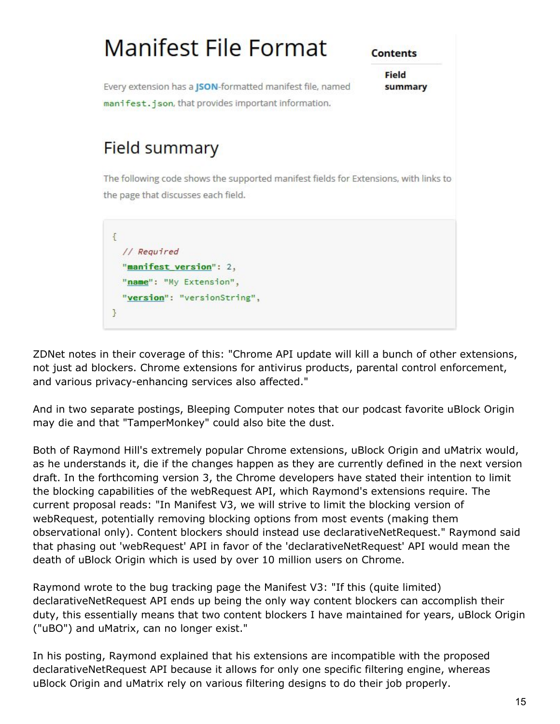

ZDNet notes in their coverage of this: "Chrome API update will kill a bunch of other extensions, not just ad blockers. Chrome extensions for antivirus products, parental control enforcement, and various privacy-enhancing services also affected."

And in two separate postings, Bleeping Computer notes that our podcast favorite uBlock Origin may die and that "TamperMonkey" could also bite the dust.

Both of Raymond Hill's extremely popular Chrome extensions, uBlock Origin and uMatrix would, as he understands it, die if the changes happen as they are currently defined in the next version draft. In the forthcoming version 3, the Chrome developers have stated their intention to limit the blocking capabilities of the webRequest API, which Raymond's extensions require. The current proposal reads: "In Manifest V3, we will strive to limit the blocking version of webRequest, potentially removing blocking options from most events (making them observational only). Content blockers should instead use declarativeNetRequest." Raymond said that phasing out 'webRequest' API in favor of the 'declarativeNetRequest' API would mean the death of uBlock Origin which is used by over 10 million users on Chrome.

Raymond wrote to the bug tracking page the Manifest V3: "If this (quite limited) declarativeNetRequest API ends up being the only way content blockers can accomplish their duty, this essentially means that two content blockers I have maintained for years, uBlock Origin ("uBO") and uMatrix, can no longer exist."

In his posting, Raymond explained that his extensions are incompatible with the proposed declarativeNetRequest API because it allows for only one specific filtering engine, whereas uBlock Origin and uMatrix rely on various filtering designs to do their job properly.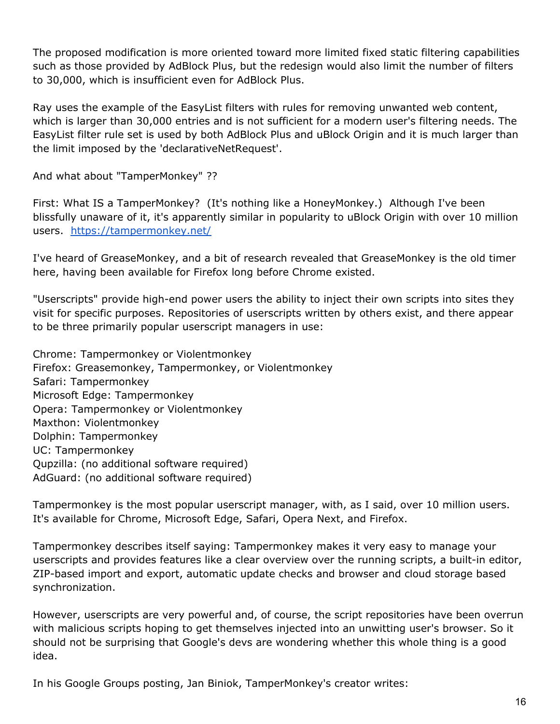The proposed modification is more oriented toward more limited fixed static filtering capabilities such as those provided by AdBlock Plus, but the redesign would also limit the number of filters to 30,000, which is insufficient even for AdBlock Plus.

Ray uses the example of the EasyList filters with rules for removing unwanted web content, which is larger than 30,000 entries and is not sufficient for a modern user's filtering needs. The EasyList filter rule set is used by both AdBlock Plus and uBlock Origin and it is much larger than the limit imposed by the 'declarativeNetRequest'.

And what about "TamperMonkey" ??

First: What IS a TamperMonkey? (It's nothing like a HoneyMonkey.) Although I've been blissfully unaware of it, it's apparently similar in popularity to uBlock Origin with over 10 million users. <https://tampermonkey.net/>

I've heard of GreaseMonkey, and a bit of research revealed that GreaseMonkey is the old timer here, having been available for Firefox long before Chrome existed.

"Userscripts" provide high-end power users the ability to inject their own scripts into sites they visit for specific purposes. Repositories of userscripts written by others exist, and there appear to be three primarily popular userscript managers in use:

Chrome: Tampermonkey or Violentmonkey Firefox: Greasemonkey, Tampermonkey, or Violentmonkey Safari: Tampermonkey Microsoft Edge: Tampermonkey Opera: Tampermonkey or Violentmonkey Maxthon: Violentmonkey Dolphin: Tampermonkey UC: Tampermonkey Qupzilla: (no additional software required) AdGuard: (no additional software required)

Tampermonkey is the most popular userscript manager, with, as I said, over 10 million users. It's available for Chrome, Microsoft Edge, Safari, Opera Next, and Firefox.

Tampermonkey describes itself saying: Tampermonkey makes it very easy to manage your userscripts and provides features like a clear overview over the running scripts, a built-in editor, ZIP-based import and export, automatic update checks and browser and cloud storage based synchronization.

However, userscripts are very powerful and, of course, the script repositories have been overrun with malicious scripts hoping to get themselves injected into an unwitting user's browser. So it should not be surprising that Google's devs are wondering whether this whole thing is a good idea.

In his Google Groups posting, Jan Biniok, TamperMonkey's creator writes: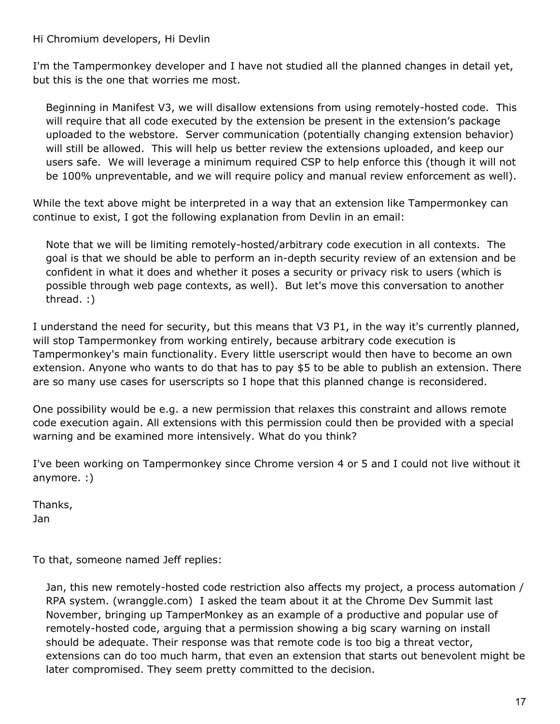Hi Chromium developers, Hi Devlin

I'm the Tampermonkey developer and I have not studied all the planned changes in detail yet, but this is the one that worries me most.

Beginning in Manifest V3, we will disallow extensions from using remotely-hosted code. This will require that all code executed by the extension be present in the extension's package uploaded to the webstore. Server communication (potentially changing extension behavior) will still be allowed. This will help us better review the extensions uploaded, and keep our users safe. We will leverage a minimum required CSP to help enforce this (though it will not be 100% unpreventable, and we will require policy and manual review enforcement as well).

While the text above might be interpreted in a way that an extension like Tampermonkey can continue to exist, I got the following explanation from Devlin in an email:

Note that we will be limiting remotely-hosted/arbitrary code execution in all contexts. The goal is that we should be able to perform an in-depth security review of an extension and be confident in what it does and whether it poses a security or privacy risk to users (which is possible through web page contexts, as well). But let's move this conversation to another thread. :)

I understand the need for security, but this means that V3 P1, in the way it's currently planned, will stop Tampermonkey from working entirely, because arbitrary code execution is Tampermonkey's main functionality. Every little userscript would then have to become an own extension. Anyone who wants to do that has to pay \$5 to be able to publish an extension. There are so many use cases for userscripts so I hope that this planned change is reconsidered.

One possibility would be e.g. a new permission that relaxes this constraint and allows remote code execution again. All extensions with this permission could then be provided with a special warning and be examined more intensively. What do you think?

I've been working on Tampermonkey since Chrome version 4 or 5 and I could not live without it anymore. :)

Thanks, Jan

To that, someone named Jeff replies:

Jan, this new remotely-hosted code restriction also affects my project, a process automation / RPA system. (wranggle.com) I asked the team about it at the Chrome Dev Summit last November, bringing up TamperMonkey as an example of a productive and popular use of remotely-hosted code, arguing that a permission showing a big scary warning on install should be adequate. Their response was that remote code is too big a threat vector, extensions can do too much harm, that even an extension that starts out benevolent might be later compromised. They seem pretty committed to the decision.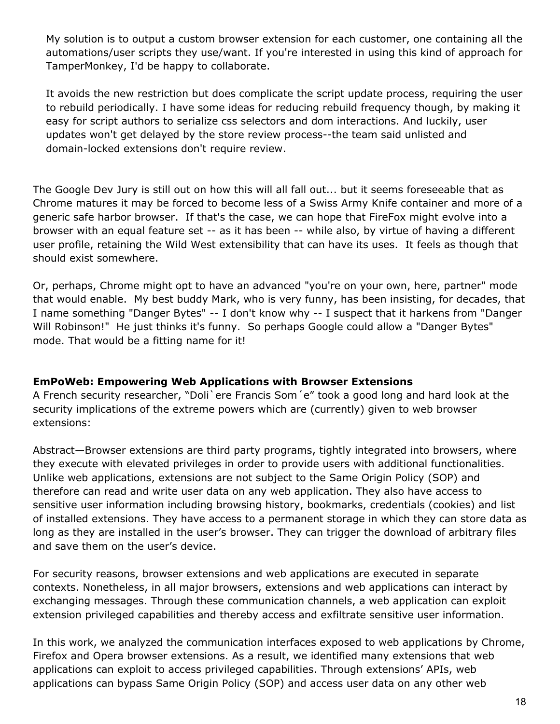My solution is to output a custom browser extension for each customer, one containing all the automations/user scripts they use/want. If you're interested in using this kind of approach for TamperMonkey, I'd be happy to collaborate.

It avoids the new restriction but does complicate the script update process, requiring the user to rebuild periodically. I have some ideas for reducing rebuild frequency though, by making it easy for script authors to serialize css selectors and dom interactions. And luckily, user updates won't get delayed by the store review process--the team said unlisted and domain-locked extensions don't require review.

The Google Dev Jury is still out on how this will all fall out... but it seems foreseeable that as Chrome matures it may be forced to become less of a Swiss Army Knife container and more of a generic safe harbor browser. If that's the case, we can hope that FireFox might evolve into a browser with an equal feature set -- as it has been -- while also, by virtue of having a different user profile, retaining the Wild West extensibility that can have its uses. It feels as though that should exist somewhere.

Or, perhaps, Chrome might opt to have an advanced "you're on your own, here, partner" mode that would enable. My best buddy Mark, who is very funny, has been insisting, for decades, that I name something "Danger Bytes" -- I don't know why -- I suspect that it harkens from "Danger Will Robinson!" He just thinks it's funny. So perhaps Google could allow a "Danger Bytes" mode. That would be a fitting name for it!

#### **EmPoWeb: Empowering Web Applications with Browser Extensions**

A French security researcher, "Doli`ere Francis Som´e" took a good long and hard look at the security implications of the extreme powers which are (currently) given to web browser extensions:

Abstract—Browser extensions are third party programs, tightly integrated into browsers, where they execute with elevated privileges in order to provide users with additional functionalities. Unlike web applications, extensions are not subject to the Same Origin Policy (SOP) and therefore can read and write user data on any web application. They also have access to sensitive user information including browsing history, bookmarks, credentials (cookies) and list of installed extensions. They have access to a permanent storage in which they can store data as long as they are installed in the user's browser. They can trigger the download of arbitrary files and save them on the user's device.

For security reasons, browser extensions and web applications are executed in separate contexts. Nonetheless, in all major browsers, extensions and web applications can interact by exchanging messages. Through these communication channels, a web application can exploit extension privileged capabilities and thereby access and exfiltrate sensitive user information.

In this work, we analyzed the communication interfaces exposed to web applications by Chrome, Firefox and Opera browser extensions. As a result, we identified many extensions that web applications can exploit to access privileged capabilities. Through extensions' APIs, web applications can bypass Same Origin Policy (SOP) and access user data on any other web